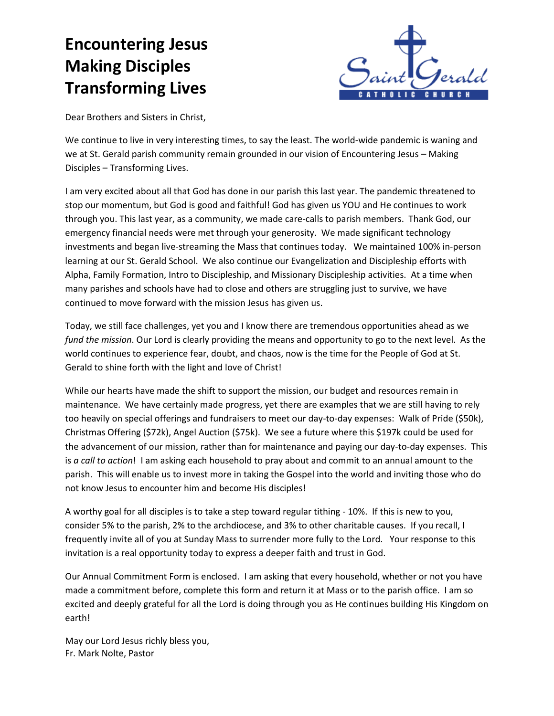## **Encountering Jesus Making Disciples Transforming Lives**



Dear Brothers and Sisters in Christ,

We continue to live in very interesting times, to say the least. The world-wide pandemic is waning and we at St. Gerald parish community remain grounded in our vision of Encountering Jesus – Making Disciples – Transforming Lives.

I am very excited about all that God has done in our parish this last year. The pandemic threatened to stop our momentum, but God is good and faithful! God has given us YOU and He continues to work through you. This last year, as a community, we made care-calls to parish members. Thank God, our emergency financial needs were met through your generosity. We made significant technology investments and began live-streaming the Mass that continues today. We maintained 100% in-person learning at our St. Gerald School. We also continue our Evangelization and Discipleship efforts with Alpha, Family Formation, Intro to Discipleship, and Missionary Discipleship activities. At a time when many parishes and schools have had to close and others are struggling just to survive, we have continued to move forward with the mission Jesus has given us.

Today, we still face challenges, yet you and I know there are tremendous opportunities ahead as we *fund the mission*. Our Lord is clearly providing the means and opportunity to go to the next level. As the world continues to experience fear, doubt, and chaos, now is the time for the People of God at St. Gerald to shine forth with the light and love of Christ!

While our hearts have made the shift to support the mission, our budget and resources remain in maintenance. We have certainly made progress, yet there are examples that we are still having to rely too heavily on special offerings and fundraisers to meet our day-to-day expenses: Walk of Pride (\$50k), Christmas Offering (\$72k), Angel Auction (\$75k). We see a future where this \$197k could be used for the advancement of our mission, rather than for maintenance and paying our day-to-day expenses. This is *a call to action*! I am asking each household to pray about and commit to an annual amount to the parish. This will enable us to invest more in taking the Gospel into the world and inviting those who do not know Jesus to encounter him and become His disciples!

A worthy goal for all disciples is to take a step toward regular tithing - 10%. If this is new to you, consider 5% to the parish, 2% to the archdiocese, and 3% to other charitable causes. If you recall, I frequently invite all of you at Sunday Mass to surrender more fully to the Lord. Your response to this invitation is a real opportunity today to express a deeper faith and trust in God.

Our Annual Commitment Form is enclosed. I am asking that every household, whether or not you have made a commitment before, complete this form and return it at Mass or to the parish office. I am so excited and deeply grateful for all the Lord is doing through you as He continues building His Kingdom on earth!

May our Lord Jesus richly bless you, Fr. Mark Nolte, Pastor